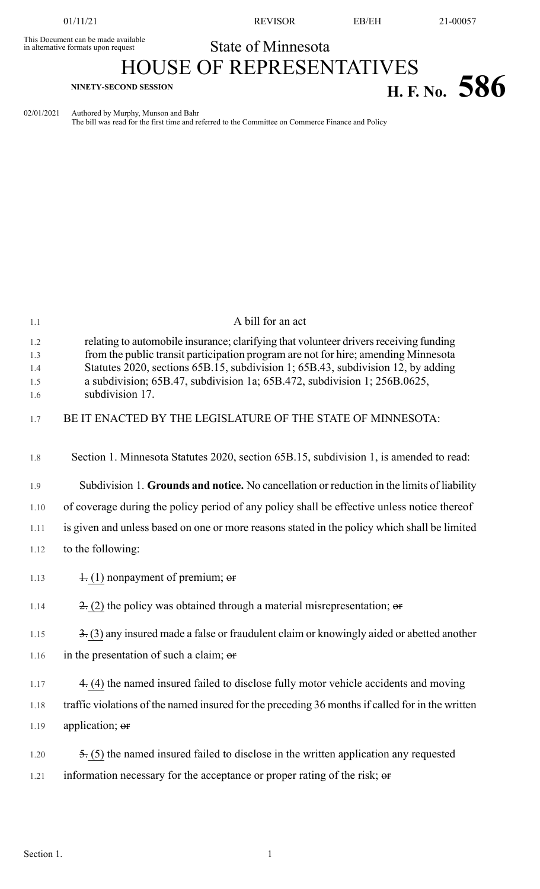This Document can be made available<br>in alternative formats upon request

01/11/21 REVISOR EB/EH 21-00057

## State of Minnesota

## HOUSE OF REPRESENTATIVES **H. F.** No. 586

02/01/2021 Authored by Murphy, Munson and Bahr

The bill was read for the first time and referred to the Committee on Commerce Finance and Policy

| A bill for an act                                                                                                                                                                                                                                                                                                                            |
|----------------------------------------------------------------------------------------------------------------------------------------------------------------------------------------------------------------------------------------------------------------------------------------------------------------------------------------------|
| relating to automobile insurance; clarifying that volunteer drivers receiving funding<br>from the public transit participation program are not for hire; amending Minnesota<br>Statutes 2020, sections 65B.15, subdivision 1; 65B.43, subdivision 12, by adding<br>a subdivision; 65B.47, subdivision 1a; 65B.472, subdivision 1; 256B.0625, |
| subdivision 17.                                                                                                                                                                                                                                                                                                                              |
| BE IT ENACTED BY THE LEGISLATURE OF THE STATE OF MINNESOTA:                                                                                                                                                                                                                                                                                  |
| Section 1. Minnesota Statutes 2020, section 65B.15, subdivision 1, is amended to read:                                                                                                                                                                                                                                                       |
| Subdivision 1. Grounds and notice. No cancellation or reduction in the limits of liability                                                                                                                                                                                                                                                   |
| of coverage during the policy period of any policy shall be effective unless notice thereof                                                                                                                                                                                                                                                  |
| is given and unless based on one or more reasons stated in the policy which shall be limited                                                                                                                                                                                                                                                 |
| to the following:                                                                                                                                                                                                                                                                                                                            |
| $\pm$ (1) nonpayment of premium; or                                                                                                                                                                                                                                                                                                          |
| $\geq$ (2) the policy was obtained through a material misrepresentation; or                                                                                                                                                                                                                                                                  |
| $\frac{3}{2}$ (3) any insured made a false or fraudulent claim or knowingly aided or abetted another                                                                                                                                                                                                                                         |
| in the presentation of such a claim; or                                                                                                                                                                                                                                                                                                      |
| 4. (4) the named insured failed to disclose fully motor vehicle accidents and moving                                                                                                                                                                                                                                                         |
| traffic violations of the named insured for the preceding 36 months if called for in the written                                                                                                                                                                                                                                             |
| application; or                                                                                                                                                                                                                                                                                                                              |
| $\frac{1}{2}$ (5) the named insured failed to disclose in the written application any requested                                                                                                                                                                                                                                              |
| information necessary for the acceptance or proper rating of the risk; or                                                                                                                                                                                                                                                                    |
|                                                                                                                                                                                                                                                                                                                                              |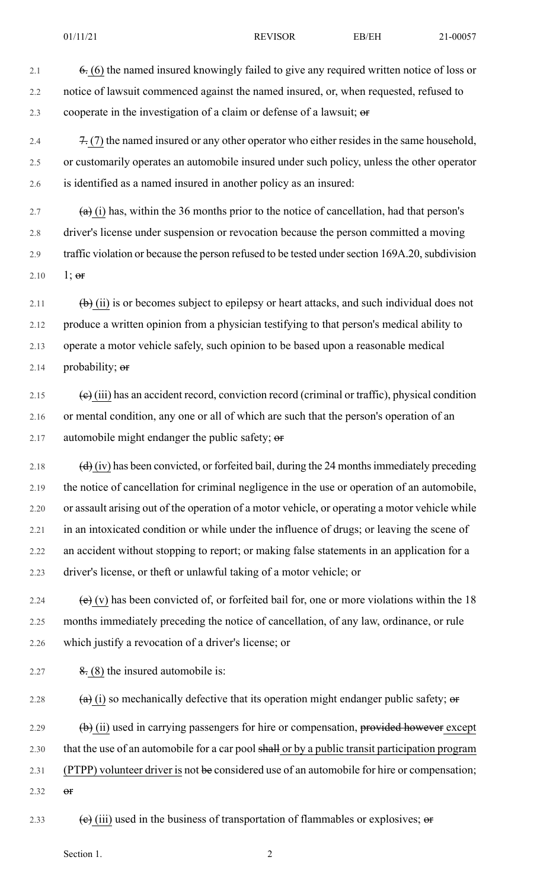- 2.1 6. (6) the named insured knowingly failed to give any required written notice of loss or 2.2 notice of lawsuit commenced against the named insured, or, when requested, refused to 2.3 cooperate in the investigation of a claim or defense of a lawsuit;  $\sigma$
- 2.4  $\frac{7}{7}$  (7) the named insured or any other operator who either resides in the same household, 2.5 or customarily operates an automobile insured under such policy, unless the other operator 2.6 is identified as a named insured in another policy as an insured:
- 2.7  $(a)$  (i) has, within the 36 months prior to the notice of cancellation, had that person's 2.8 driver's license under suspension or revocation because the person committed a moving 2.9 traffic violation or because the person refused to be tested under section 169A.20, subdivision 2.10  $1; \text{or}$
- 2.11  $\left(\frac{b}{c}\right)$  (ii) is or becomes subject to epilepsy or heart attacks, and such individual does not 2.12 produce a written opinion from a physician testifying to that person's medical ability to 2.13 operate a motor vehicle safely, such opinion to be based upon a reasonable medical 2.14 probability;  $er$
- 2.15  $\left(\mathbf{e}\right)$  (iii) has an accident record, conviction record (criminal or traffic), physical condition 2.16 or mental condition, any one or all of which are such that the person's operation of an 2.17 automobile might endanger the public safety;  $\theta$
- 2.18  $(d)$  (iv) has been convicted, or forfeited bail, during the 24 months immediately preceding 2.19 the notice of cancellation for criminal negligence in the use or operation of an automobile, 2.20 or assault arising out of the operation of a motor vehicle, or operating a motor vehicle while 2.21 in an intoxicated condition or while under the influence of drugs; or leaving the scene of 2.22 an accident without stopping to report; or making false statements in an application for a 2.23 driver's license, or theft or unlawful taking of a motor vehicle; or
- 2.24  $\left(e\right)(v)$  has been convicted of, or forfeited bail for, one or more violations within the 18 2.25 months immediately preceding the notice of cancellation, of any law, ordinance, or rule 2.26 which justify a revocation of a driver's license; or
- 2.27  $\frac{8}{6}$  (8) the insured automobile is:
- 2.28  $(a)$  (i) so mechanically defective that its operation might endanger public safety; or
- 2.29  $\qquad \qquad \textbf{(b)}$  (ii) used in carrying passengers for hire or compensation, provided however except
- 2.30 that the use of an automobile for a car pool shall or by a public transit participation program
- 2.31 (PTPP) volunteer driver is not be considered use of an automobile for hire or compensation;
- 2.32  $\Theta$ **F**
- 2.33 (e) (iii) used in the business of transportation of flammables or explosives;  $\theta$

Section 1.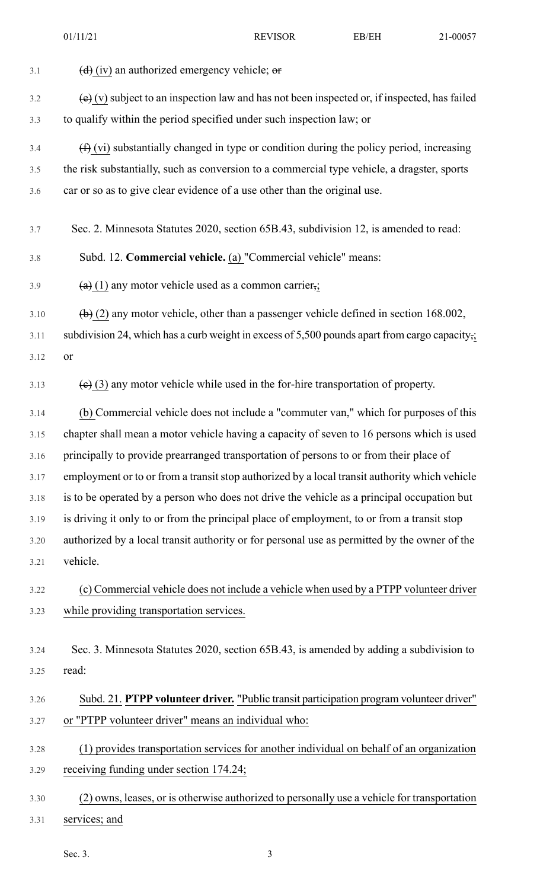| 3.1  | $\left(\frac{d}{d}\right)$ (iv) an authorized emergency vehicle; $\theta$                                    |
|------|--------------------------------------------------------------------------------------------------------------|
| 3.2  | $\overline{e}(x)$ subject to an inspection law and has not been inspected or, if inspected, has failed       |
| 3.3  | to qualify within the period specified under such inspection law; or                                         |
| 3.4  | $(f)$ (vi) substantially changed in type or condition during the policy period, increasing                   |
| 3.5  | the risk substantially, such as conversion to a commercial type vehicle, a dragster, sports                  |
| 3.6  | car or so as to give clear evidence of a use other than the original use.                                    |
| 3.7  | Sec. 2. Minnesota Statutes 2020, section 65B.43, subdivision 12, is amended to read:                         |
| 3.8  | Subd. 12. Commercial vehicle. (a) "Commercial vehicle" means:                                                |
| 3.9  | $(a)$ (1) any motor vehicle used as a common carrier,;                                                       |
| 3.10 | $\left(\frac{b}{c}\right)$ (2) any motor vehicle, other than a passenger vehicle defined in section 168.002, |
| 3.11 | subdivision 24, which has a curb weight in excess of 5,500 pounds apart from cargo capacity,;                |
| 3.12 | or                                                                                                           |
| 3.13 | $\left(\frac{e}{e}\right)$ (3) any motor vehicle while used in the for-hire transportation of property.      |
| 3.14 | (b) Commercial vehicle does not include a "commuter van," which for purposes of this                         |
| 3.15 | chapter shall mean a motor vehicle having a capacity of seven to 16 persons which is used                    |
| 3.16 | principally to provide prearranged transportation of persons to or from their place of                       |
| 3.17 | employment or to or from a transit stop authorized by a local transit authority which vehicle                |
| 3.18 | is to be operated by a person who does not drive the vehicle as a principal occupation but                   |
| 3.19 | is driving it only to or from the principal place of employment, to or from a transit stop                   |
| 3.20 | authorized by a local transit authority or for personal use as permitted by the owner of the                 |
| 3.21 | vehicle.                                                                                                     |
| 3.22 | (c) Commercial vehicle does not include a vehicle when used by a PTPP volunteer driver                       |
| 3.23 | while providing transportation services.                                                                     |
| 3.24 | Sec. 3. Minnesota Statutes 2020, section 65B.43, is amended by adding a subdivision to                       |
| 3.25 | read:                                                                                                        |
| 3.26 | Subd. 21. PTPP volunteer driver. "Public transit participation program volunteer driver"                     |
| 3.27 | or "PTPP volunteer driver" means an individual who:                                                          |
| 3.28 | (1) provides transportation services for another individual on behalf of an organization                     |
| 3.29 | receiving funding under section 174.24;                                                                      |
| 3.30 | (2) owns, leases, or is otherwise authorized to personally use a vehicle for transportation                  |
| 3.31 | services; and                                                                                                |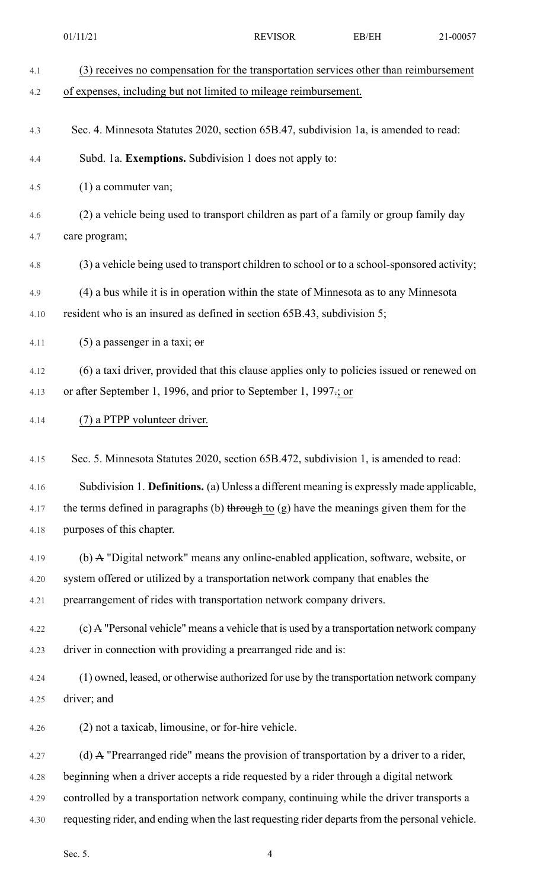|      | 01/11/21                                                                                          | <b>REVISOR</b> | EB/EH | 21-00057 |
|------|---------------------------------------------------------------------------------------------------|----------------|-------|----------|
| 4.1  | (3) receives no compensation for the transportation services other than reimbursement             |                |       |          |
| 4.2  | of expenses, including but not limited to mileage reimbursement.                                  |                |       |          |
| 4.3  | Sec. 4. Minnesota Statutes 2020, section 65B.47, subdivision 1a, is amended to read:              |                |       |          |
| 4.4  | Subd. 1a. Exemptions. Subdivision 1 does not apply to:                                            |                |       |          |
| 4.5  | $(1)$ a commuter van;                                                                             |                |       |          |
| 4.6  | (2) a vehicle being used to transport children as part of a family or group family day            |                |       |          |
| 4.7  | care program;                                                                                     |                |       |          |
| 4.8  | (3) a vehicle being used to transport children to school or to a school-sponsored activity;       |                |       |          |
| 4.9  | (4) a bus while it is in operation within the state of Minnesota as to any Minnesota              |                |       |          |
| 4.10 | resident who is an insured as defined in section 65B.43, subdivision 5;                           |                |       |          |
| 4.11 | (5) a passenger in a taxi; $\theta$                                                               |                |       |          |
| 4.12 | (6) a taxi driver, provided that this clause applies only to policies issued or renewed on        |                |       |          |
| 4.13 | or after September 1, 1996, and prior to September 1, 1997-; or                                   |                |       |          |
| 4.14 | (7) a PTPP volunteer driver.                                                                      |                |       |          |
| 4.15 | Sec. 5. Minnesota Statutes 2020, section 65B.472, subdivision 1, is amended to read:              |                |       |          |
| 4.16 | Subdivision 1. Definitions. (a) Unless a different meaning is expressly made applicable,          |                |       |          |
| 4.17 | the terms defined in paragraphs (b) through to $(g)$ have the meanings given them for the         |                |       |          |
| 4.18 | purposes of this chapter.                                                                         |                |       |          |
| 4.19 | (b) A "Digital network" means any online-enabled application, software, website, or               |                |       |          |
| 4.20 | system offered or utilized by a transportation network company that enables the                   |                |       |          |
| 4.21 | prearrangement of rides with transportation network company drivers.                              |                |       |          |
| 4.22 | (c) A "Personal vehicle" means a vehicle that is used by a transportation network company         |                |       |          |
| 4.23 | driver in connection with providing a prearranged ride and is:                                    |                |       |          |
| 4.24 | (1) owned, leased, or otherwise authorized for use by the transportation network company          |                |       |          |
| 4.25 | driver; and                                                                                       |                |       |          |
| 4.26 | (2) not a taxicab, limousine, or for-hire vehicle.                                                |                |       |          |
| 4.27 | (d) $\mathbf{A}$ "Prearranged ride" means the provision of transportation by a driver to a rider, |                |       |          |
| 4.28 | beginning when a driver accepts a ride requested by a rider through a digital network             |                |       |          |
| 4.29 | controlled by a transportation network company, continuing while the driver transports a          |                |       |          |
| 4.30 | requesting rider, and ending when the last requesting rider departs from the personal vehicle.    |                |       |          |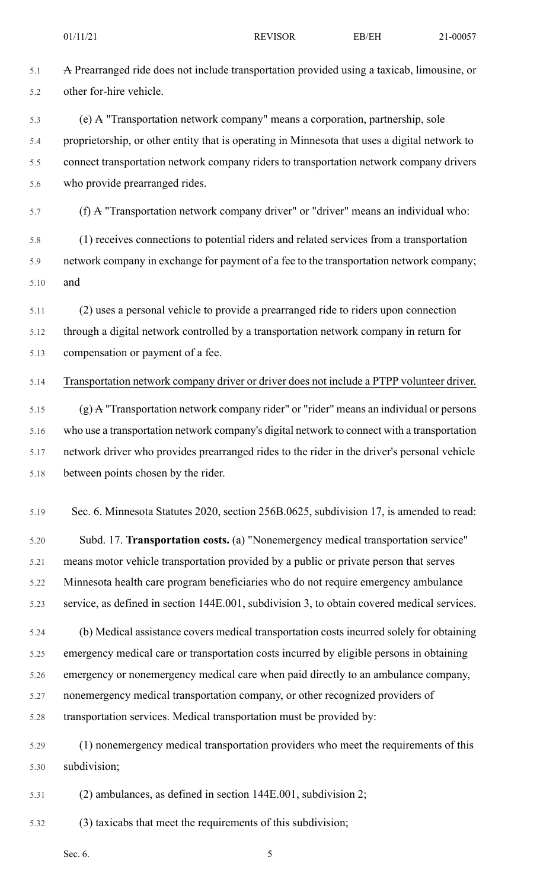5.1 A Prearranged ride does not include transportation provided using a taxicab, limousine, or 5.2 other for-hire vehicle. 5.3 (e) A "Transportation network company" means a corporation, partnership, sole 5.4 proprietorship, or other entity that is operating in Minnesota that uses a digital network to 5.5 connect transportation network company riders to transportation network company drivers 5.6 who provide prearranged rides. 5.7 (f) A "Transportation network company driver" or "driver" means an individual who: 5.8 (1) receives connections to potential riders and related services from a transportation 5.9 network company in exchange for payment of a fee to the transportation network company; 5.10 and 5.11 (2) uses a personal vehicle to provide a prearranged ride to riders upon connection 5.12 through a digital network controlled by a transportation network company in return for 5.13 compensation or payment of a fee. 5.14 Transportation network company driver or driver does not include a PTPP volunteer driver.  $5.15$  (g) A "Transportation network company rider" or "rider" means an individual or persons 5.16 who use a transportation network company's digital network to connect with a transportation 5.17 network driver who provides prearranged rides to the rider in the driver's personal vehicle 5.18 between points chosen by the rider. 5.19 Sec. 6. Minnesota Statutes 2020, section 256B.0625, subdivision 17, is amended to read: 5.20 Subd. 17. **Transportation costs.** (a) "Nonemergency medical transportation service" 5.21 means motor vehicle transportation provided by a public or private person that serves 5.22 Minnesota health care program beneficiaries who do not require emergency ambulance 5.23 service, as defined in section 144E.001, subdivision 3, to obtain covered medical services. 5.24 (b) Medical assistance covers medical transportation costs incurred solely for obtaining 5.25 emergency medical care or transportation costs incurred by eligible persons in obtaining 5.26 emergency or nonemergency medical care when paid directly to an ambulance company, 5.27 nonemergency medical transportation company, or other recognized providers of 5.28 transportation services. Medical transportation must be provided by: 5.29 (1) nonemergency medical transportation providers who meet the requirements of this 5.30 subdivision; 5.31 (2) ambulances, as defined in section 144E.001, subdivision 2;

5.32 (3) taxicabs that meet the requirements of this subdivision;

Sec. 6.  $5^{\circ}$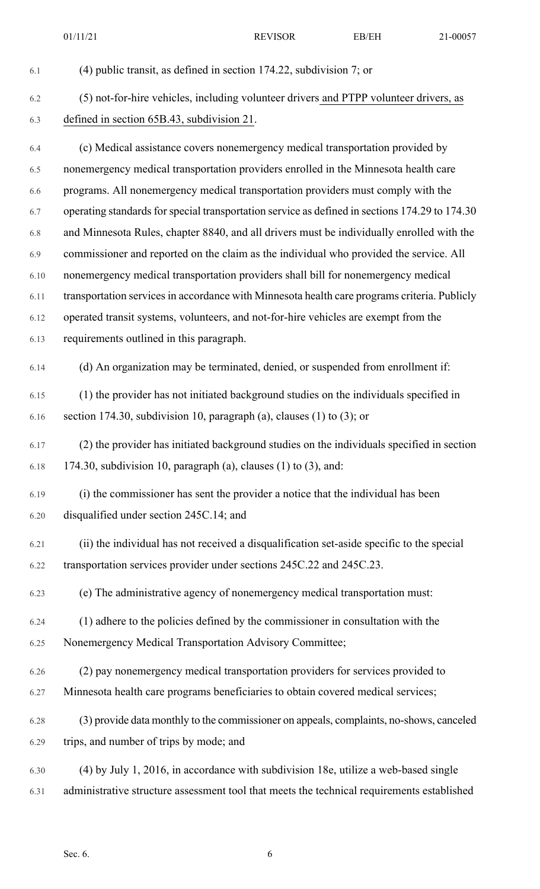6.1 (4) public transit, as defined in section 174.22, subdivision 7; or 6.2 (5) not-for-hire vehicles, including volunteer drivers and PTPP volunteer drivers, as 6.3 defined in section 65B.43, subdivision 21. 6.4 (c) Medical assistance covers nonemergency medical transportation provided by 6.5 nonemergency medical transportation providers enrolled in the Minnesota health care 6.6 programs. All nonemergency medical transportation providers must comply with the 6.7 operating standards for special transportation service as defined in sections 174.29 to 174.30 6.8 and Minnesota Rules, chapter 8840, and all drivers must be individually enrolled with the 6.9 commissioner and reported on the claim as the individual who provided the service. All 6.10 nonemergency medical transportation providers shall bill for nonemergency medical 6.11 transportation servicesin accordance with Minnesota health care programs criteria. Publicly 6.12 operated transit systems, volunteers, and not-for-hire vehicles are exempt from the 6.13 requirements outlined in this paragraph. 6.14 (d) An organization may be terminated, denied, or suspended from enrollment if: 6.15 (1) the provider has not initiated background studies on the individuals specified in 6.16 section 174.30, subdivision 10, paragraph (a), clauses (1) to (3); or 6.17 (2) the provider has initiated background studies on the individuals specified in section  $6.18$  174.30, subdivision 10, paragraph (a), clauses (1) to (3), and: 6.19 (i) the commissioner has sent the provider a notice that the individual has been 6.20 disqualified under section 245C.14; and 6.21 (ii) the individual has not received a disqualification set-aside specific to the special 6.22 transportation services provider under sections 245C.22 and 245C.23. 6.23 (e) The administrative agency of nonemergency medical transportation must: 6.24 (1) adhere to the policies defined by the commissioner in consultation with the 6.25 Nonemergency Medical Transportation Advisory Committee; 6.26 (2) pay nonemergency medical transportation providers for services provided to 6.27 Minnesota health care programs beneficiaries to obtain covered medical services; 6.28 (3) provide data monthly to the commissioner on appeals, complaints, no-shows, canceled 6.29 trips, and number of trips by mode; and 6.30 (4) by July 1, 2016, in accordance with subdivision 18e, utilize a web-based single 6.31 administrative structure assessment tool that meets the technical requirements established 01/11/21 REVISOR BB/EH 21-00057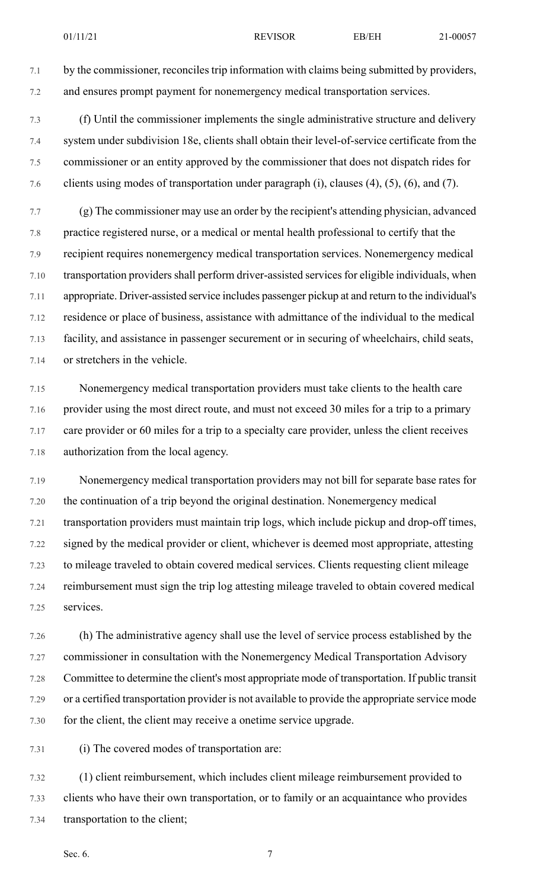7.1 by the commissioner, reconciles trip information with claims being submitted by providers, 7.2 and ensures prompt payment for nonemergency medical transportation services.

7.3 (f) Until the commissioner implements the single administrative structure and delivery 7.4 system under subdivision 18e, clients shall obtain their level-of-service certificate from the 7.5 commissioner or an entity approved by the commissioner that does not dispatch rides for 7.6 clients using modes of transportation under paragraph (i), clauses (4), (5), (6), and (7).

7.7 (g) The commissioner may use an order by the recipient's attending physician, advanced 7.8 practice registered nurse, or a medical or mental health professional to certify that the 7.9 recipient requires nonemergency medical transportation services. Nonemergency medical 7.10 transportation providers shall perform driver-assisted services for eligible individuals, when 7.11 appropriate. Driver-assisted service includes passenger pickup at and return to the individual's 7.12 residence or place of business, assistance with admittance of the individual to the medical 7.13 facility, and assistance in passenger securement or in securing of wheelchairs, child seats, 7.14 or stretchers in the vehicle.

7.15 Nonemergency medical transportation providers must take clients to the health care 7.16 provider using the most direct route, and must not exceed 30 miles for a trip to a primary 7.17 care provider or 60 miles for a trip to a specialty care provider, unless the client receives 7.18 authorization from the local agency.

7.19 Nonemergency medical transportation providers may not bill for separate base rates for 7.20 the continuation of a trip beyond the original destination. Nonemergency medical 7.21 transportation providers must maintain trip logs, which include pickup and drop-off times, 7.22 signed by the medical provider or client, whichever is deemed most appropriate, attesting 7.23 to mileage traveled to obtain covered medical services. Clients requesting client mileage 7.24 reimbursement must sign the trip log attesting mileage traveled to obtain covered medical 7.25 services.

7.26 (h) The administrative agency shall use the level of service process established by the 7.27 commissioner in consultation with the Nonemergency Medical Transportation Advisory 7.28 Committee to determine the client's most appropriate mode of transportation. If public transit 7.29 or a certified transportation provider is not available to provide the appropriate service mode 7.30 for the client, the client may receive a onetime service upgrade.

7.31 (i) The covered modes of transportation are:

7.32 (1) client reimbursement, which includes client mileage reimbursement provided to 7.33 clients who have their own transportation, or to family or an acquaintance who provides 7.34 transportation to the client;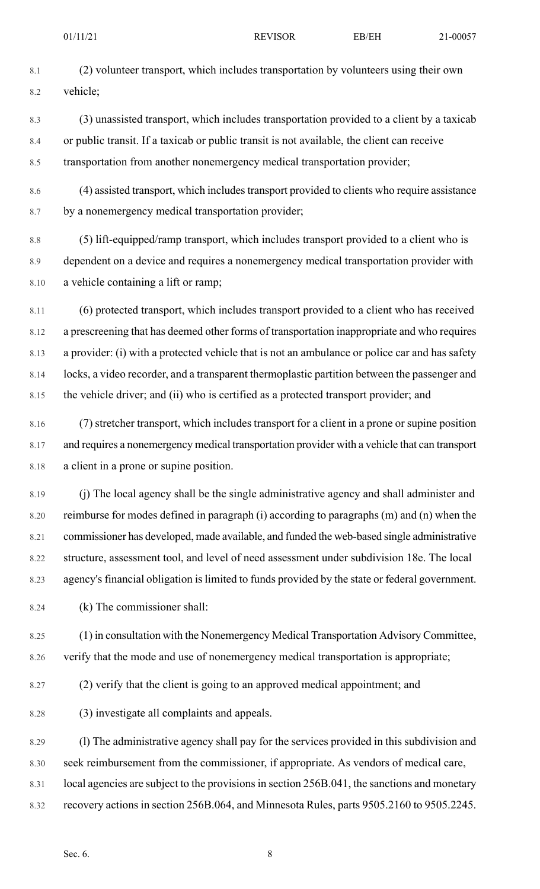8.3 (3) unassisted transport, which includes transportation provided to a client by a taxicab 8.4 or public transit. If a taxicab or public transit is not available, the client can receive 8.5 transportation from another nonemergency medical transportation provider;

8.6 (4) assisted transport, which includes transport provided to clients who require assistance 8.7 by a nonemergency medical transportation provider;

8.8 (5) lift-equipped/ramp transport, which includes transport provided to a client who is 8.9 dependent on a device and requires a nonemergency medical transportation provider with 8.10 a vehicle containing a lift or ramp;

8.11 (6) protected transport, which includes transport provided to a client who has received 8.12 a prescreening that has deemed other forms of transportation inappropriate and who requires 8.13 a provider: (i) with a protected vehicle that is not an ambulance or police car and has safety 8.14 locks, a video recorder, and a transparent thermoplastic partition between the passenger and 8.15 the vehicle driver; and (ii) who is certified as a protected transport provider; and

8.16 (7) stretcher transport, which includes transport for a client in a prone or supine position 8.17 and requires a nonemergency medical transportation provider with a vehicle that can transport 8.18 a client in a prone or supine position.

8.19 (j) The local agency shall be the single administrative agency and shall administer and 8.20 reimburse for modes defined in paragraph (i) according to paragraphs (m) and (n) when the 8.21 commissioner has developed, made available, and funded the web-based single administrative 8.22 structure, assessment tool, and level of need assessment under subdivision 18e. The local 8.23 agency's financial obligation is limited to funds provided by the state or federal government.

8.24 (k) The commissioner shall:

8.25 (1) in consultation with the Nonemergency Medical Transportation Advisory Committee, 8.26 verify that the mode and use of nonemergency medical transportation is appropriate;

8.27 (2) verify that the client is going to an approved medical appointment; and

8.28 (3) investigate all complaints and appeals.

8.29 (l) The administrative agency shall pay for the services provided in this subdivision and 8.30 seek reimbursement from the commissioner, if appropriate. As vendors of medical care, 8.31 local agencies are subject to the provisions in section 256B.041, the sanctions and monetary 8.32 recovery actions in section 256B.064, and Minnesota Rules, parts 9505.2160 to 9505.2245.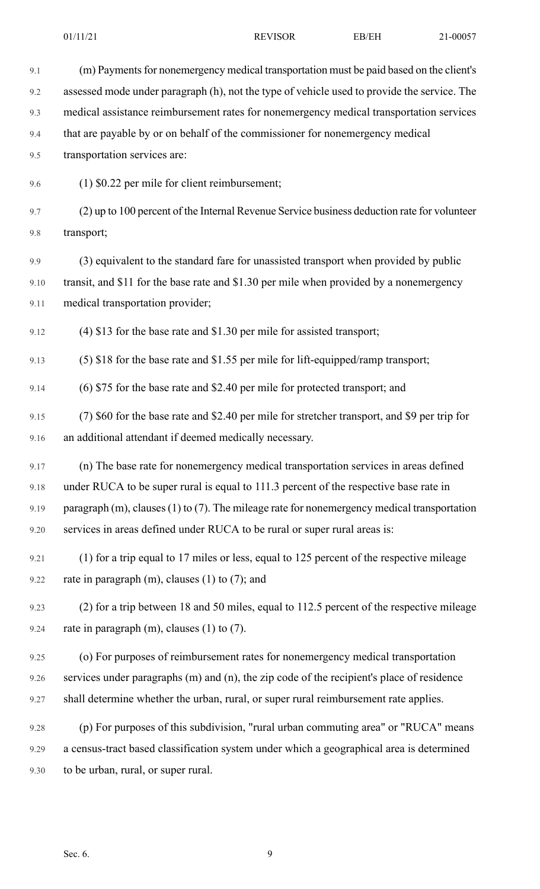| 9.1  | (m) Payments for nonemergency medical transportation must be paid based on the client's             |
|------|-----------------------------------------------------------------------------------------------------|
| 9.2  | assessed mode under paragraph (h), not the type of vehicle used to provide the service. The         |
| 9.3  | medical assistance reimbursement rates for nonemergency medical transportation services             |
| 9.4  | that are payable by or on behalf of the commissioner for nonemergency medical                       |
| 9.5  | transportation services are:                                                                        |
| 9.6  | $(1)$ \$0.22 per mile for client reimbursement;                                                     |
| 9.7  | (2) up to 100 percent of the Internal Revenue Service business deduction rate for volunteer         |
| 9.8  | transport;                                                                                          |
| 9.9  | (3) equivalent to the standard fare for unassisted transport when provided by public                |
| 9.10 | transit, and \$11 for the base rate and \$1.30 per mile when provided by a nonemergency             |
| 9.11 | medical transportation provider;                                                                    |
| 9.12 | $(4)$ \$13 for the base rate and \$1.30 per mile for assisted transport;                            |
| 9.13 | $(5)$ \$18 for the base rate and \$1.55 per mile for lift-equipped/ramp transport;                  |
| 9.14 | (6) \$75 for the base rate and \$2.40 per mile for protected transport; and                         |
| 9.15 | (7) \$60 for the base rate and \$2.40 per mile for stretcher transport, and \$9 per trip for        |
| 9.16 | an additional attendant if deemed medically necessary.                                              |
| 9.17 | (n) The base rate for nonemergency medical transportation services in areas defined                 |
| 9.18 | under RUCA to be super rural is equal to 111.3 percent of the respective base rate in               |
| 9.19 | paragraph $(m)$ , clauses $(1)$ to $(7)$ . The mileage rate for nonemergency medical transportation |
| 9.20 | services in areas defined under RUCA to be rural or super rural areas is:                           |
| 9.21 | (1) for a trip equal to 17 miles or less, equal to 125 percent of the respective mileage            |
| 9.22 | rate in paragraph $(m)$ , clauses $(1)$ to $(7)$ ; and                                              |
| 9.23 | (2) for a trip between 18 and 50 miles, equal to 112.5 percent of the respective mileage            |
| 9.24 | rate in paragraph $(m)$ , clauses $(1)$ to $(7)$ .                                                  |
| 9.25 | (o) For purposes of reimbursement rates for nonemergency medical transportation                     |
| 9.26 | services under paragraphs (m) and (n), the zip code of the recipient's place of residence           |
| 9.27 | shall determine whether the urban, rural, or super rural reimbursement rate applies.                |
| 9.28 | (p) For purposes of this subdivision, "rural urban commuting area" or "RUCA" means                  |
| 9.29 | a census-tract based classification system under which a geographical area is determined            |
| 9.30 | to be urban, rural, or super rural.                                                                 |
|      |                                                                                                     |